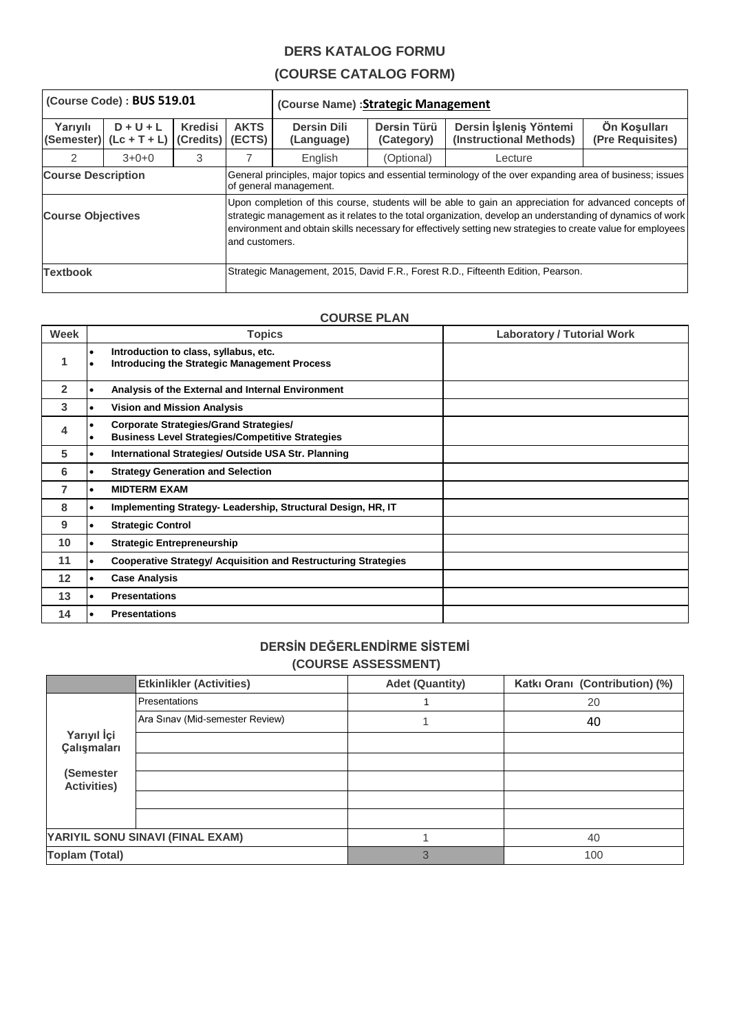## **DERS KATALOG FORMU**

## **(COURSE CATALOG FORM)**

| (Course Code): BUS 519.01                  |                               |                                      |                                                                                                                                     | (Course Name) : Strategic Management                                                                                                                                                                                                                                                                                                 |                           |                                                   |                                  |
|--------------------------------------------|-------------------------------|--------------------------------------|-------------------------------------------------------------------------------------------------------------------------------------|--------------------------------------------------------------------------------------------------------------------------------------------------------------------------------------------------------------------------------------------------------------------------------------------------------------------------------------|---------------------------|---------------------------------------------------|----------------------------------|
| Yarıyılı<br>(Semester)                     | $D + U + L$<br>$(Lc + T + L)$ | <b>Kredisi</b><br>(Credits)   (ECTS) | <b>AKTS</b>                                                                                                                         | <b>Dersin Dili</b><br>(Language)                                                                                                                                                                                                                                                                                                     | Dersin Türü<br>(Category) | Dersin İşleniş Yöntemi<br>(Instructional Methods) | Ön Koşulları<br>(Pre Requisites) |
| $\mathcal{P}$                              | $3+0+0$                       | 3                                    |                                                                                                                                     | English                                                                                                                                                                                                                                                                                                                              | (Optional)                | Lecture                                           |                                  |
| <b>Course Description</b>                  |                               |                                      | General principles, major topics and essential terminology of the over expanding area of business; issues<br>of general management. |                                                                                                                                                                                                                                                                                                                                      |                           |                                                   |                                  |
| <b>Course Objectives</b><br>and customers. |                               |                                      |                                                                                                                                     | Upon completion of this course, students will be able to gain an appreciation for advanced concepts of<br>strategic management as it relates to the total organization, develop an understanding of dynamics of work<br>environment and obtain skills necessary for effectively setting new strategies to create value for employees |                           |                                                   |                                  |
| <b>Textbook</b>                            |                               |                                      | Strategic Management, 2015, David F.R., Forest R.D., Fifteenth Edition, Pearson.                                                    |                                                                                                                                                                                                                                                                                                                                      |                           |                                                   |                                  |

## **COURSE PLAN**

| Week         |           | <b>Topics</b>                                                                                            | <b>Laboratory / Tutorial Work</b> |
|--------------|-----------|----------------------------------------------------------------------------------------------------------|-----------------------------------|
| 1            |           | Introduction to class, syllabus, etc.<br><b>Introducing the Strategic Management Process</b>             |                                   |
| $\mathbf{2}$ |           | Analysis of the External and Internal Environment                                                        |                                   |
| 3            |           | <b>Vision and Mission Analysis</b>                                                                       |                                   |
| 4            |           | <b>Corporate Strategies/Grand Strategies/</b><br><b>Business Level Strategies/Competitive Strategies</b> |                                   |
| 5            | $\bullet$ | International Strategies/ Outside USA Str. Planning                                                      |                                   |
| 6            |           | <b>Strategy Generation and Selection</b>                                                                 |                                   |
| 7            |           | <b>MIDTERM EXAM</b>                                                                                      |                                   |
| 8            |           | Implementing Strategy-Leadership, Structural Design, HR, IT                                              |                                   |
| 9            |           | <b>Strategic Control</b>                                                                                 |                                   |
| 10           |           | <b>Strategic Entrepreneurship</b>                                                                        |                                   |
| 11           |           | <b>Cooperative Strategy/ Acquisition and Restructuring Strategies</b>                                    |                                   |
| 12           |           | <b>Case Analysis</b>                                                                                     |                                   |
| 13           |           | <b>Presentations</b>                                                                                     |                                   |
| 14           |           | <b>Presentations</b>                                                                                     |                                   |

## **DERSİN DEĞERLENDİRME SİSTEMİ (COURSE ASSESSMENT)**

|                                  | <b>Etkinlikler (Activities)</b> | <b>Adet (Quantity)</b> | Katkı Oranı (Contribution) (%) |
|----------------------------------|---------------------------------|------------------------|--------------------------------|
|                                  | Presentations                   |                        | 20                             |
|                                  | Ara Sinav (Mid-semester Review) |                        | 40                             |
| Yarıyıl İçi<br>Çalışmaları       |                                 |                        |                                |
|                                  |                                 |                        |                                |
| (Semester<br><b>Activities)</b>  |                                 |                        |                                |
|                                  |                                 |                        |                                |
|                                  |                                 |                        |                                |
| YARIYIL SONU SINAVI (FINAL EXAM) |                                 |                        | 40                             |
| <b>Toplam (Total)</b>            |                                 | 3                      | 100                            |